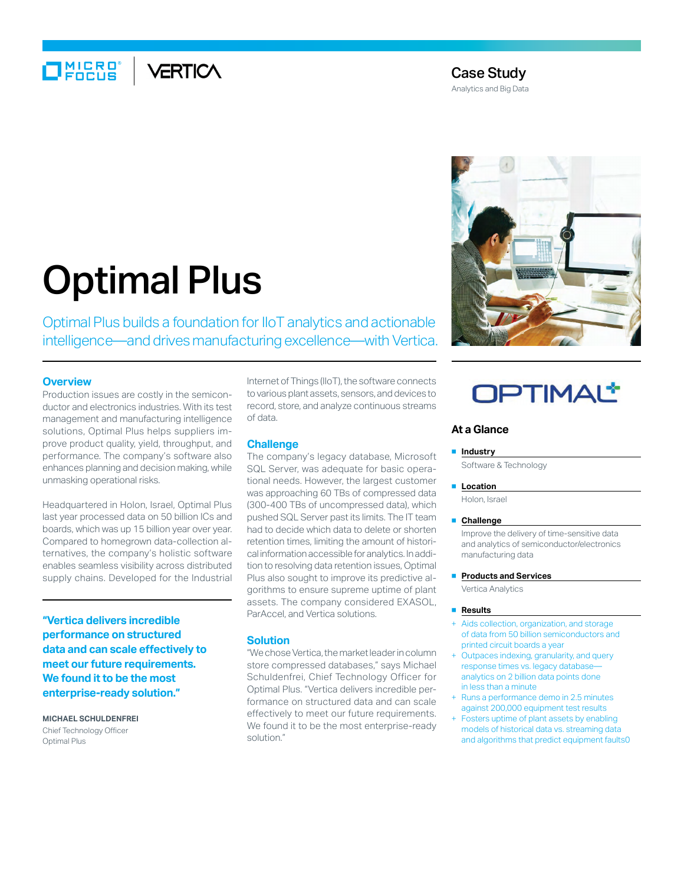## $\Box$ MIERO VERTICA

### Case Study

Analytics and Big Data

# Optimal Plus

Optimal Plus builds a foundation for IIoT analytics and actionable intelligence—and drives manufacturing excellence—with Vertica.

#### **Overview**

Production issues are costly in the semiconductor and electronics industries. With its test management and manufacturing intelligence solutions, Optimal Plus helps suppliers improve product quality, yield, throughput, and performance. The company's software also enhances planning and decision making, while unmasking operational risks.

Headquartered in Holon, Israel, Optimal Plus last year processed data on 50 billion ICs and boards, which was up 15 billion year over year. Compared to homegrown data-collection alternatives, the company's holistic software enables seamless visibility across distributed supply chains. Developed for the Industrial

**"Vertica delivers incredible performance on structured data and can scale effectively to meet our future requirements. We found it to be the most enterprise-ready solution."**

**MICHAEL SCHULDENFREI** Chief Technology Officer Optimal Plus

Internet of Things (IIoT), the software connects to various plant assets, sensors, and devices to record, store, and analyze continuous streams of data.

#### **Challenge**

The company's legacy database, Microsoft SQL Server, was adequate for basic operational needs. However, the largest customer was approaching 60 TBs of compressed data (300-400 TBs of uncompressed data), which pushed SQL Server past its limits. The IT team had to decide which data to delete or shorten retention times, limiting the amount of historical information accessible for analytics. In addition to resolving data retention issues, Optimal Plus also sought to improve its predictive algorithms to ensure supreme uptime of plant assets. The company considered EXASOL, ParAccel, and Vertica solutions.

#### **Solution**

"We chose Vertica, the market leader in column store compressed databases," says Michael Schuldenfrei, Chief Technology Officer for Optimal Plus. "Vertica delivers incredible performance on structured data and can scale effectively to meet our future requirements. We found it to be the most enterprise-ready solution."



## **OPTIMAL\***

#### **At a Glance**

#### ■ **Industry**

Software & Technology

#### ■ **Location**

Holon, Israel

#### ■ **Challenge**

Improve the delivery of time-sensitive data and analytics of semiconductor/electronics manufacturing data

#### **Products and Services**

Vertica Analytics

#### ■ **Results**

- Aids collection, organization, and storage of data from 50 billion semiconductors and printed circuit boards a year
- Outpaces indexing, granularity, and query response times vs. legacy database analytics on 2 billion data points done in less than a minute
- Runs a performance demo in 2.5 minutes against 200,000 equipment test results
- Fosters uptime of plant assets by enabling models of historical data vs. streaming data and algorithms that predict equipment faults0